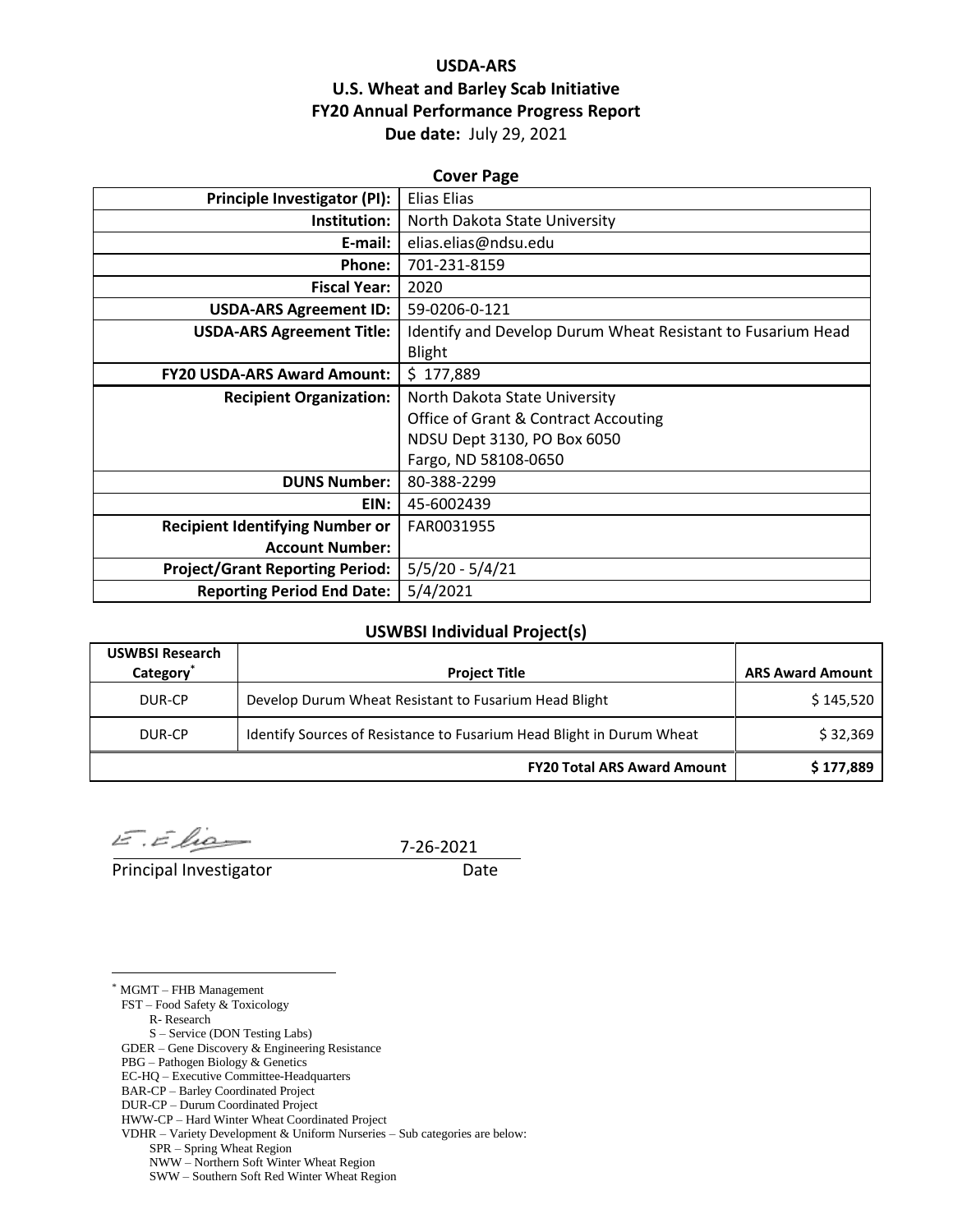## **USDA-ARS U.S. Wheat and Barley Scab Initiative FY20 Annual Performance Progress Report Due date:** July 29, 2021

| <b>Cover Page</b>                      |                                                             |  |  |  |
|----------------------------------------|-------------------------------------------------------------|--|--|--|
| Principle Investigator (PI):           | Elias Elias                                                 |  |  |  |
| Institution:                           | North Dakota State University                               |  |  |  |
| E-mail:                                | elias.elias@ndsu.edu                                        |  |  |  |
| Phone:                                 | 701-231-8159                                                |  |  |  |
| <b>Fiscal Year:</b>                    | 2020                                                        |  |  |  |
| <b>USDA-ARS Agreement ID:</b>          | 59-0206-0-121                                               |  |  |  |
| <b>USDA-ARS Agreement Title:</b>       | Identify and Develop Durum Wheat Resistant to Fusarium Head |  |  |  |
|                                        | <b>Blight</b>                                               |  |  |  |
| <b>FY20 USDA-ARS Award Amount:</b>     | \$177,889                                                   |  |  |  |
| <b>Recipient Organization:</b>         | North Dakota State University                               |  |  |  |
|                                        | <b>Office of Grant &amp; Contract Accouting</b>             |  |  |  |
|                                        | NDSU Dept 3130, PO Box 6050                                 |  |  |  |
|                                        | Fargo, ND 58108-0650                                        |  |  |  |
| <b>DUNS Number:</b>                    | 80-388-2299                                                 |  |  |  |
| EIN:                                   | 45-6002439                                                  |  |  |  |
| <b>Recipient Identifying Number or</b> | FAR0031955                                                  |  |  |  |
| <b>Account Number:</b>                 |                                                             |  |  |  |
| <b>Project/Grant Reporting Period:</b> | $5/5/20 - 5/4/21$                                           |  |  |  |
| <b>Reporting Period End Date:</b>      | 5/4/2021                                                    |  |  |  |

#### **USWBSI Individual Project(s)**

| <b>USWBSI Research</b><br>Category <sup>®</sup> | <b>Project Title</b>                                                  | <b>ARS Award Amount</b> |
|-------------------------------------------------|-----------------------------------------------------------------------|-------------------------|
| DUR-CP                                          | Develop Durum Wheat Resistant to Fusarium Head Blight                 | \$145,520               |
| DUR-CP                                          | Identify Sources of Resistance to Fusarium Head Blight in Durum Wheat | \$32,369                |
|                                                 | <b>FY20 Total ARS Award Amount</b>                                    | \$177,889               |

 $25.5$ lia  $7-26-2021$ 

Principal Investigator Date

\* MGMT – FHB Management FST – Food Safety & Toxicology

 $\overline{a}$ 

R- Research

S – Service (DON Testing Labs)

GDER – Gene Discovery & Engineering Resistance

PBG – Pathogen Biology & Genetics

EC-HQ – Executive Committee-Headquarters

BAR-CP – Barley Coordinated Project

DUR-CP – Durum Coordinated Project

HWW-CP – Hard Winter Wheat Coordinated Project

VDHR – Variety Development & Uniform Nurseries – Sub categories are below:

SPR – Spring Wheat Region

NWW – Northern Soft Winter Wheat Region

SWW – Southern Soft Red Winter Wheat Region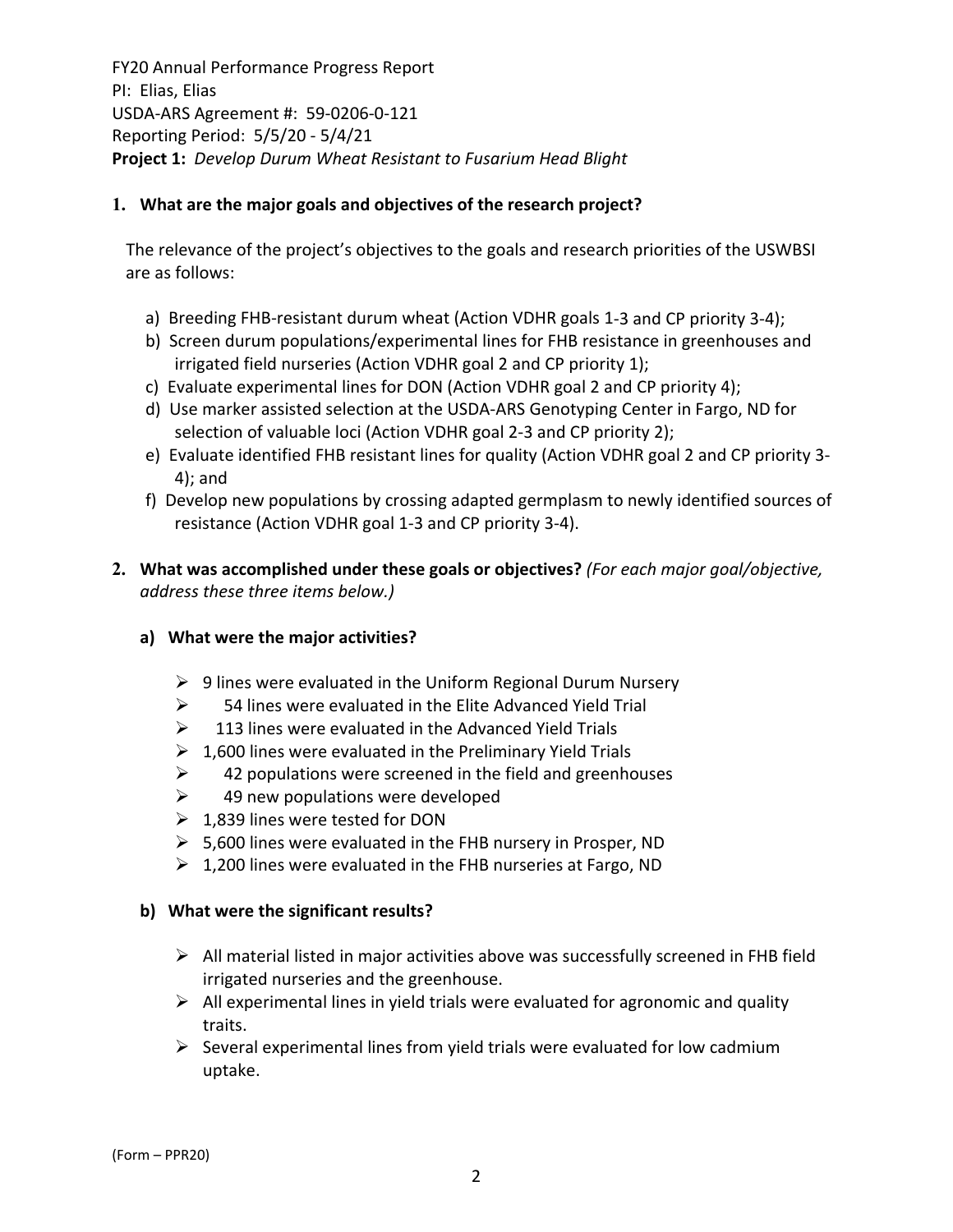FY20 Annual Performance Progress Report PI: Elias, Elias USDA‐ARS Agreement #: 59‐0206‐0‐121 Reporting Period: 5/5/20 ‐ 5/4/21 **Project 1:** *Develop Durum Wheat Resistant to Fusarium Head Blight*

## **1. What are the major goals and objectives of the research project?**

The relevance of the project's objectives to the goals and research priorities of the USWBSI are as follows:

- a) Breeding FHB‐resistant durum wheat (Action VDHR goals 1‐3 and CP priority 3‐4);
- b) Screen durum populations/experimental lines for FHB resistance in greenhouses and irrigated field nurseries (Action VDHR goal 2 and CP priority 1);
- c) Evaluate experimental lines for DON (Action VDHR goal 2 and CP priority 4);
- d) Use marker assisted selection at the USDA‐ARS Genotyping Center in Fargo, ND for selection of valuable loci (Action VDHR goal 2‐3 and CP priority 2);
- e) Evaluate identified FHB resistant lines for quality (Action VDHR goal 2 and CP priority 3‐ 4); and
- f) Develop new populations by crossing adapted germplasm to newly identified sources of resistance (Action VDHR goal 1‐3 and CP priority 3‐4).
- **2. What was accomplished under these goals or objectives?** *(For each major goal/objective, address these three items below.)*
	- **a) What were the major activities?**
		- $\triangleright$  9 lines were evaluated in the Uniform Regional Durum Nursery
		- $\geq$  54 lines were evaluated in the Elite Advanced Yield Trial
		- $\geq$  113 lines were evaluated in the Advanced Yield Trials
		- $\geq 1,600$  lines were evaluated in the Preliminary Yield Trials
		- $\geq$  42 populations were screened in the field and greenhouses
		- $\geq$  49 new populations were developed
		- $\geq 1,839$  lines were tested for DON
		- $\geq$  5,600 lines were evaluated in the FHB nursery in Prosper, ND
		- $\geq 1,200$  lines were evaluated in the FHB nurseries at Fargo, ND

## **b) What were the significant results?**

- $\triangleright$  All material listed in major activities above was successfully screened in FHB field irrigated nurseries and the greenhouse.
- $\triangleright$  All experimental lines in yield trials were evaluated for agronomic and quality traits.
- $\triangleright$  Several experimental lines from yield trials were evaluated for low cadmium uptake.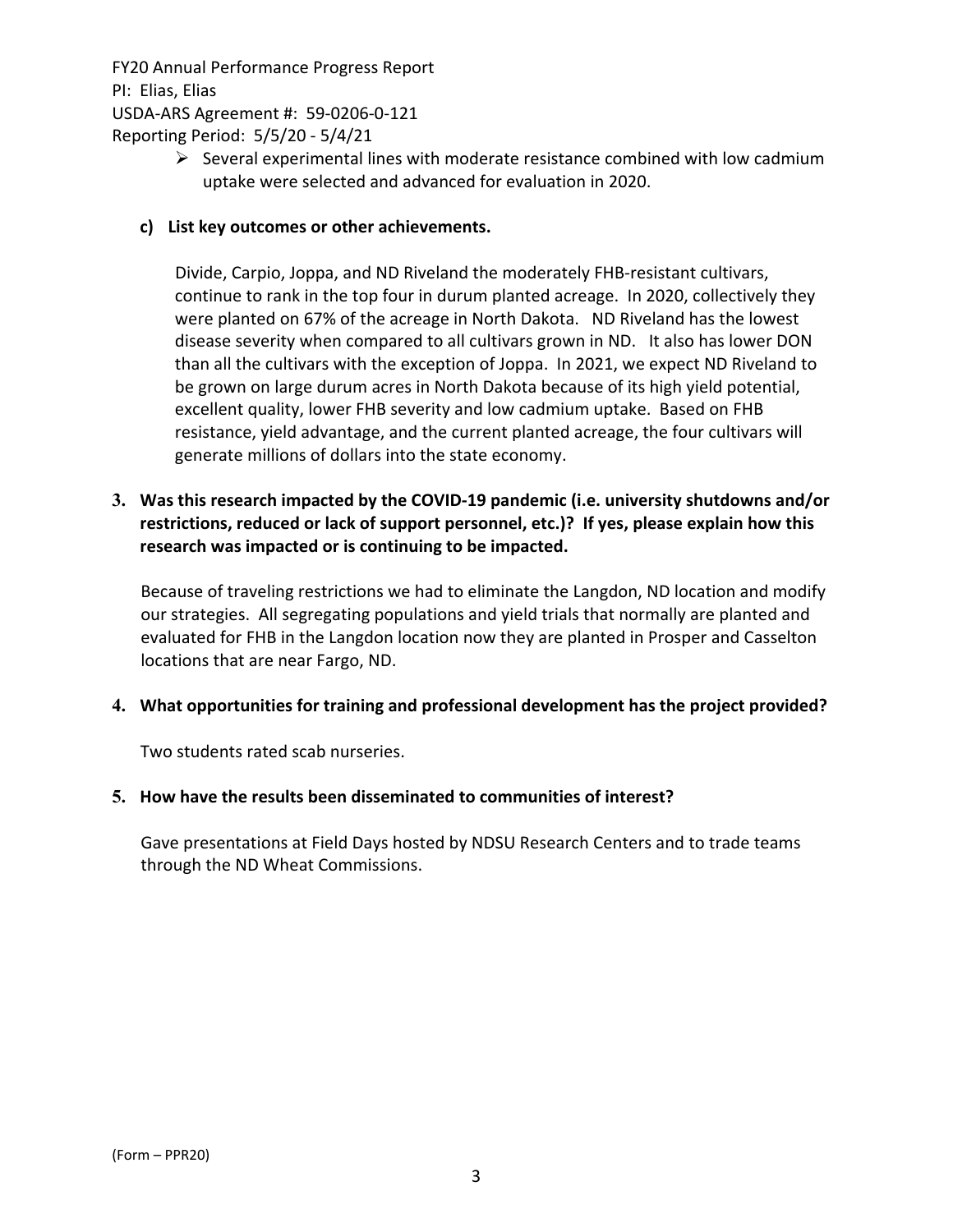> $\triangleright$  Several experimental lines with moderate resistance combined with low cadmium uptake were selected and advanced for evaluation in 2020.

## **c) List key outcomes or other achievements.**

Divide, Carpio, Joppa, and ND Riveland the moderately FHB‐resistant cultivars, continue to rank in the top four in durum planted acreage. In 2020, collectively they were planted on 67% of the acreage in North Dakota. ND Riveland has the lowest disease severity when compared to all cultivars grown in ND. It also has lower DON than all the cultivars with the exception of Joppa. In 2021, we expect ND Riveland to be grown on large durum acres in North Dakota because of its high yield potential, excellent quality, lower FHB severity and low cadmium uptake. Based on FHB resistance, yield advantage, and the current planted acreage, the four cultivars will generate millions of dollars into the state economy.

## **3. Was this research impacted by the COVID‐19 pandemic (i.e. university shutdowns and/or restrictions, reduced or lack of support personnel, etc.)? If yes, please explain how this research was impacted or is continuing to be impacted.**

Because of traveling restrictions we had to eliminate the Langdon, ND location and modify our strategies. All segregating populations and yield trials that normally are planted and evaluated for FHB in the Langdon location now they are planted in Prosper and Casselton locations that are near Fargo, ND.

## **4. What opportunities for training and professional development has the project provided?**

Two students rated scab nurseries.

## **5. How have the results been disseminated to communities of interest?**

Gave presentations at Field Days hosted by NDSU Research Centers and to trade teams through the ND Wheat Commissions.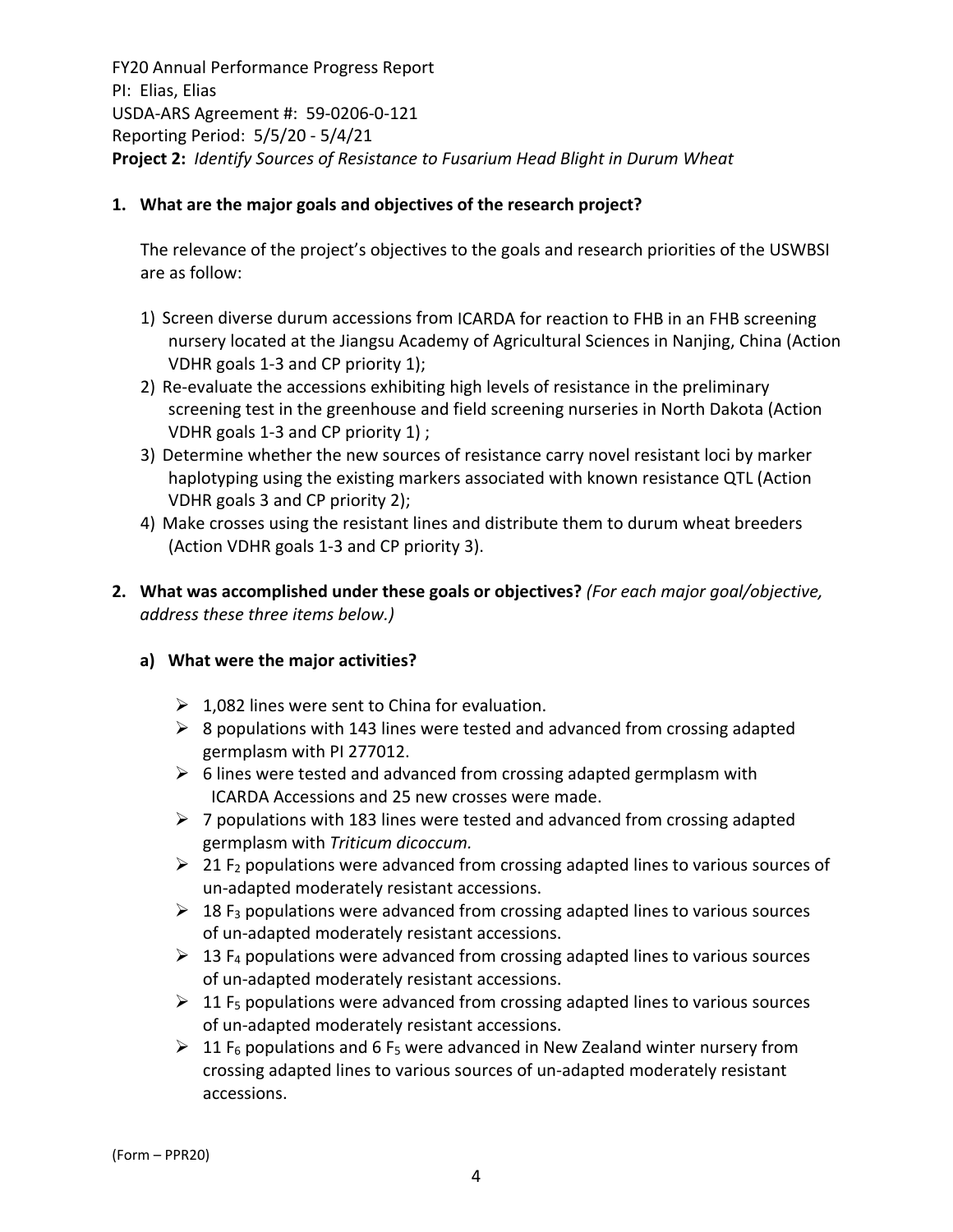FY20 Annual Performance Progress Report PI: Elias, Elias USDA‐ARS Agreement #: 59‐0206‐0‐121 Reporting Period: 5/5/20 ‐ 5/4/21 **Project 2:** *Identify Sources of Resistance to Fusarium Head Blight in Durum Wheat*

## **1. What are the major goals and objectives of the research project?**

The relevance of the project's objectives to the goals and research priorities of the USWBSI are as follow:

- 1) Screen diverse durum accessions from ICARDA for reaction to FHB in an FHB screening nursery located at the Jiangsu Academy of Agricultural Sciences in Nanjing, China (Action VDHR goals 1‐3 and CP priority 1);
- 2) Re-evaluate the accessions exhibiting high levels of resistance in the preliminary screening test in the greenhouse and field screening nurseries in North Dakota (Action VDHR goals 1‐3 and CP priority 1) ;
- 3) Determine whether the new sources of resistance carry novel resistant loci by marker haplotyping using the existing markers associated with known resistance QTL (Action VDHR goals 3 and CP priority 2);
- 4) Make crosses using the resistant lines and distribute them to durum wheat breeders (Action VDHR goals 1‐3 and CP priority 3).
- **2. What was accomplished under these goals or objectives?** *(For each major goal/objective, address these three items below.)*

## **a) What were the major activities?**

- $\geq 1,082$  lines were sent to China for evaluation.
- $\triangleright$  8 populations with 143 lines were tested and advanced from crossing adapted germplasm with PI 277012.
- $\triangleright$  6 lines were tested and advanced from crossing adapted germplasm with ICARDA Accessions and 25 new crosses were made.
- $\triangleright$  7 populations with 183 lines were tested and advanced from crossing adapted germplasm with *Triticum dicoccum.*
- $\geq 21$  F<sub>2</sub> populations were advanced from crossing adapted lines to various sources of un‐adapted moderately resistant accessions.
- $\triangleright$  18 F<sub>3</sub> populations were advanced from crossing adapted lines to various sources of un‐adapted moderately resistant accessions.
- $\triangleright$  13 F<sub>4</sub> populations were advanced from crossing adapted lines to various sources of un‐adapted moderately resistant accessions.
- $\triangleright$  11 F<sub>5</sub> populations were advanced from crossing adapted lines to various sources of un‐adapted moderately resistant accessions.
- $\geq 11$  F<sub>6</sub> populations and 6 F<sub>5</sub> were advanced in New Zealand winter nursery from crossing adapted lines to various sources of un‐adapted moderately resistant accessions.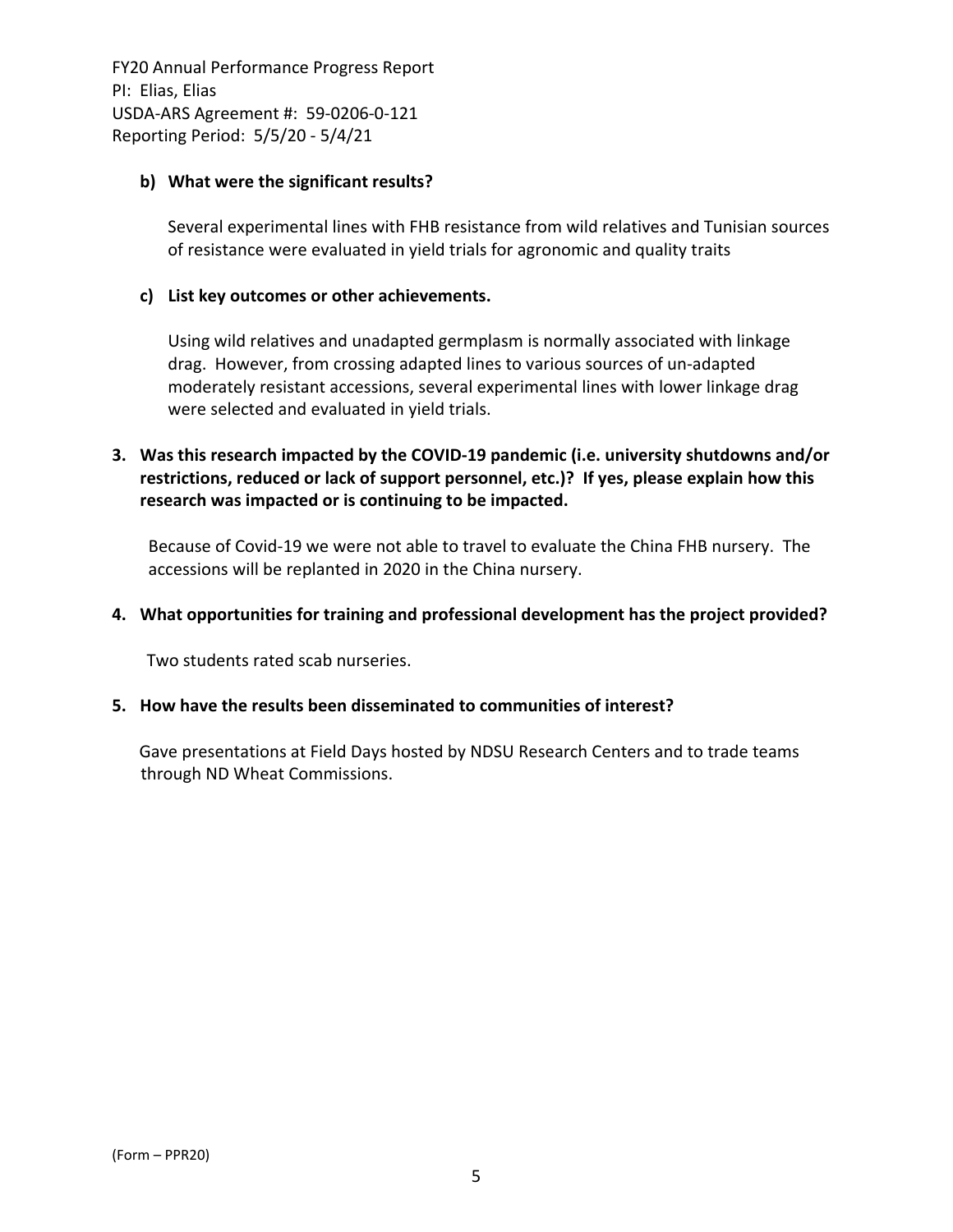### **b) What were the significant results?**

Several experimental lines with FHB resistance from wild relatives and Tunisian sources of resistance were evaluated in yield trials for agronomic and quality traits

## **c) List key outcomes or other achievements.**

Using wild relatives and unadapted germplasm is normally associated with linkage drag. However, from crossing adapted lines to various sources of un‐adapted moderately resistant accessions, several experimental lines with lower linkage drag were selected and evaluated in yield trials.

## **3. Was this research impacted by the COVID‐19 pandemic (i.e. university shutdowns and/or restrictions, reduced or lack of support personnel, etc.)? If yes, please explain how this research was impacted or is continuing to be impacted.**

Because of Covid‐19 we were not able to travel to evaluate the China FHB nursery. The accessions will be replanted in 2020 in the China nursery.

#### **4. What opportunities for training and professional development has the project provided?**

Two students rated scab nurseries.

#### **5. How have the results been disseminated to communities of interest?**

Gave presentations at Field Days hosted by NDSU Research Centers and to trade teams through ND Wheat Commissions.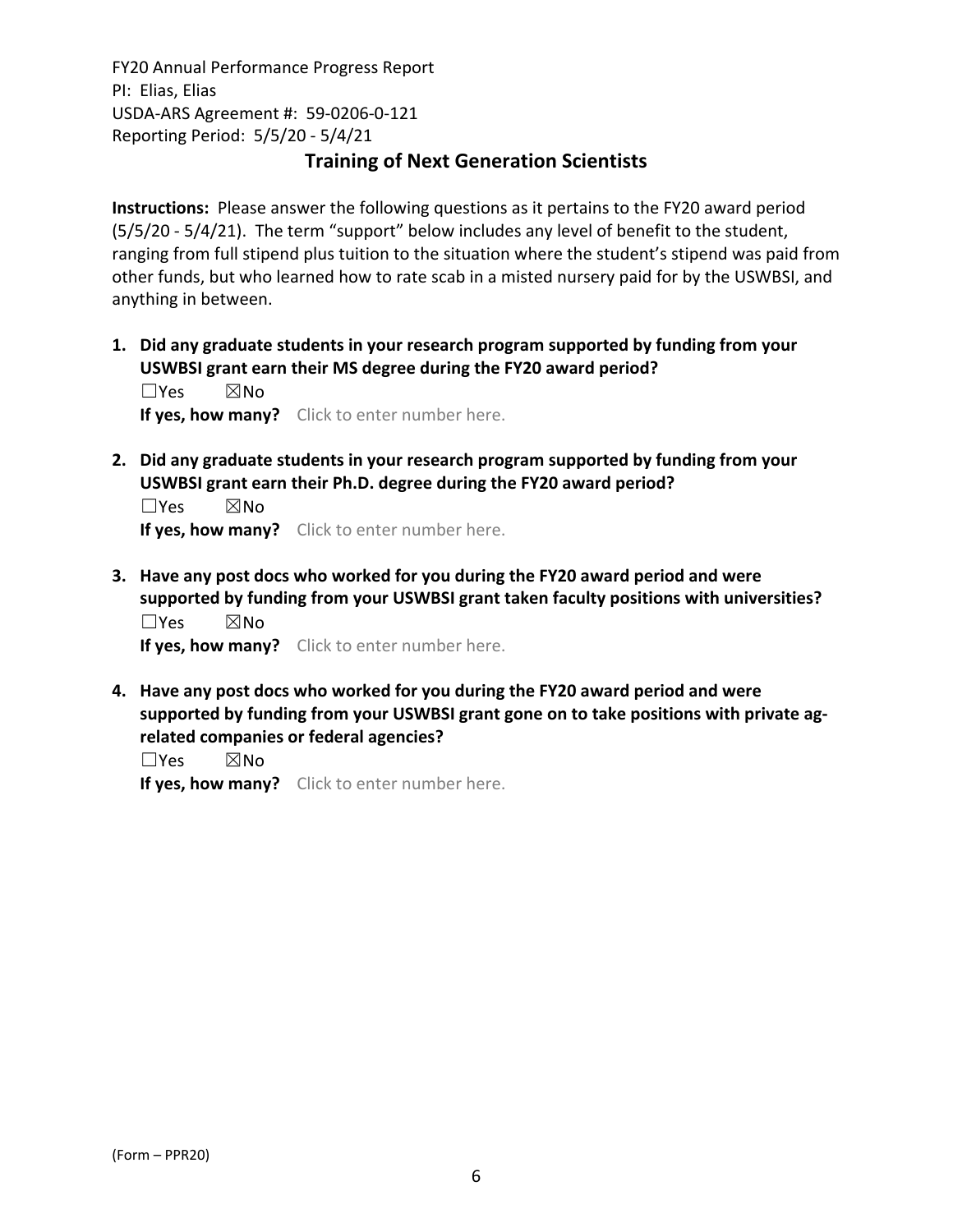## **Training of Next Generation Scientists**

**Instructions:** Please answer the following questions as it pertains to the FY20 award period (5/5/20 ‐ 5/4/21). The term "support" below includes any level of benefit to the student, ranging from full stipend plus tuition to the situation where the student's stipend was paid from other funds, but who learned how to rate scab in a misted nursery paid for by the USWBSI, and anything in between.

**1. Did any graduate students in your research program supported by funding from your USWBSI grant earn their MS degree during the FY20 award period?**

☐Yes ☒No **If yes, how many?** Click to enter number here.

**2. Did any graduate students in your research program supported by funding from your USWBSI grant earn their Ph.D. degree during the FY20 award period?**

☐Yes ☒No **If yes, how many?** Click to enter number here.

**3. Have any post docs who worked for you during the FY20 award period and were supported by funding from your USWBSI grant taken faculty positions with universities?** ☐Yes ☒No

**If yes, how many?** Click to enter number here.

**4. Have any post docs who worked for you during the FY20 award period and were supported by funding from your USWBSI grant gone on to take positions with private ag‐ related companies or federal agencies?**

☐Yes ☒No **If yes, how many?** Click to enter number here.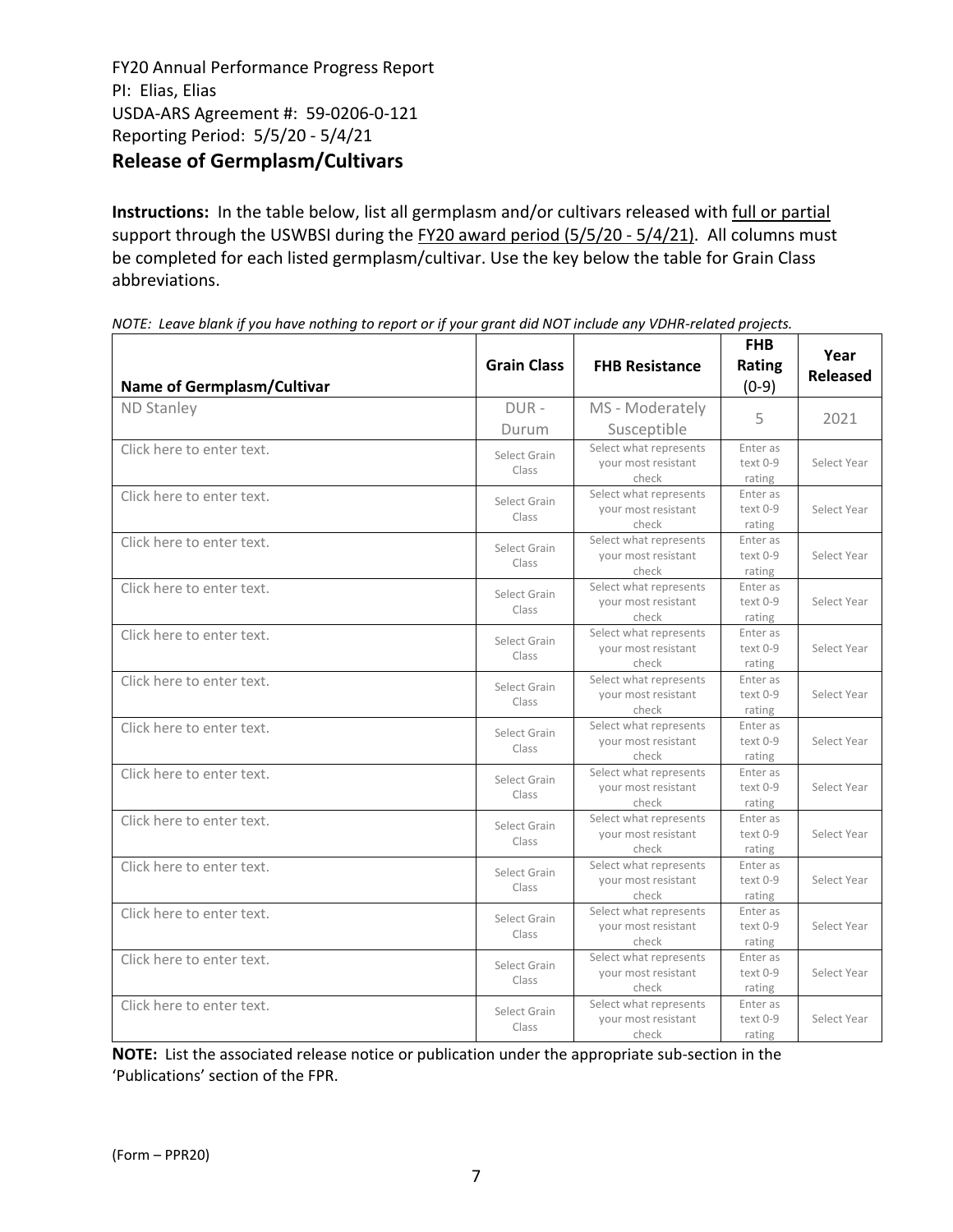FY20 Annual Performance Progress Report PI: Elias, Elias USDA‐ARS Agreement #: 59‐0206‐0‐121 Reporting Period: 5/5/20 ‐ 5/4/21 **Release of Germplasm/Cultivars**

**Instructions:** In the table below, list all germplasm and/or cultivars released with full or partial support through the USWBSI during the FY20 award period (5/5/20 - 5/4/21). All columns must be completed for each listed germplasm/cultivar. Use the key below the table for Grain Class abbreviations. 

| <b>Name of Germplasm/Cultivar</b> | <b>Grain Class</b>             | <b>FHB Resistance</b>                                                 | <b>FHB</b><br>Rating<br>$(0-9)$ | Year<br><b>Released</b> |
|-----------------------------------|--------------------------------|-----------------------------------------------------------------------|---------------------------------|-------------------------|
| <b>ND Stanley</b>                 | DUR-                           | MS - Moderately                                                       | 5                               | 2021                    |
| Click here to enter text.         | Durum<br>Select Grain<br>Class | Susceptible<br>Select what represents<br>your most resistant<br>check | Enter as<br>text 0-9<br>rating  | Select Year             |
| Click here to enter text.         | Select Grain<br>Class          | Select what represents<br>your most resistant<br>check                | Enter as<br>text 0-9<br>rating  | Select Year             |
| Click here to enter text.         | Select Grain<br>Class          | Select what represents<br>your most resistant<br>check                | Enter as<br>text 0-9<br>rating  | Select Year             |
| Click here to enter text.         | Select Grain<br>Class          | Select what represents<br>your most resistant<br>check                | Enter as<br>text 0-9<br>rating  | Select Year             |
| Click here to enter text.         | Select Grain<br>Class          | Select what represents<br>your most resistant<br>check                | Enter as<br>text 0-9<br>rating  | Select Year             |
| Click here to enter text.         | Select Grain<br>Class          | Select what represents<br>your most resistant<br>check                | Enter as<br>text 0-9<br>rating  | Select Year             |
| Click here to enter text.         | Select Grain<br>Class          | Select what represents<br>your most resistant<br>check                | Enter as<br>text 0-9<br>rating  | Select Year             |
| Click here to enter text.         | Select Grain<br>Class          | Select what represents<br>your most resistant<br>check                | Enter as<br>text 0-9<br>rating  | Select Year             |
| Click here to enter text.         | Select Grain<br>Class          | Select what represents<br>your most resistant<br>check                | Enter as<br>text 0-9<br>rating  | Select Year             |
| Click here to enter text.         | Select Grain<br>Class          | Select what represents<br>your most resistant<br>check                | Enter as<br>text 0-9<br>rating  | Select Year             |
| Click here to enter text.         | Select Grain<br>Class          | Select what represents<br>your most resistant<br>check                | Enter as<br>text 0-9<br>rating  | Select Year             |
| Click here to enter text.         | Select Grain<br>Class          | Select what represents<br>your most resistant<br>check                | Enter as<br>text 0-9<br>rating  | Select Year             |
| Click here to enter text.         | Select Grain<br>Class          | Select what represents<br>your most resistant<br>check                | Enter as<br>text 0-9<br>rating  | Select Year             |

NOTE: Leave blank if you have nothing to report or if your grant did NOT include any VDHR-related projects.

**NOTE:** List the associated release notice or publication under the appropriate sub-section in the 'Publications' section of the FPR.